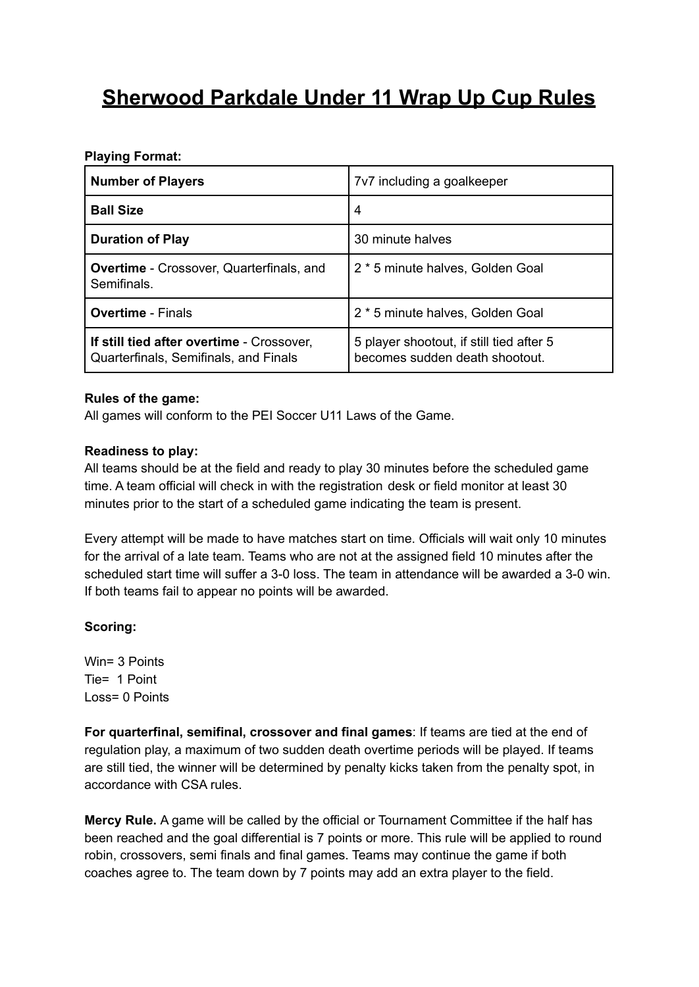# **Sherwood Parkdale Under 11 Wrap Up Cup Rules**

# **Playing Format:**

| <b>Number of Players</b>                                                           | 7v7 including a goalkeeper                                                 |
|------------------------------------------------------------------------------------|----------------------------------------------------------------------------|
| <b>Ball Size</b>                                                                   | 4                                                                          |
| <b>Duration of Play</b>                                                            | 30 minute halves                                                           |
| <b>Overtime</b> - Crossover, Quarterfinals, and<br>Semifinals.                     | 2 * 5 minute halves, Golden Goal                                           |
| <b>Overtime</b> - Finals                                                           | 2 * 5 minute halves, Golden Goal                                           |
| If still tied after overtime - Crossover,<br>Quarterfinals, Semifinals, and Finals | 5 player shootout, if still tied after 5<br>becomes sudden death shootout. |

#### **Rules of the game:**

All games will conform to the PEI Soccer U11 Laws of the Game.

## **Readiness to play:**

All teams should be at the field and ready to play 30 minutes before the scheduled game time. A team official will check in with the registration desk or field monitor at least 30 minutes prior to the start of a scheduled game indicating the team is present.

Every attempt will be made to have matches start on time. Officials will wait only 10 minutes for the arrival of a late team. Teams who are not at the assigned field 10 minutes after the scheduled start time will suffer a 3-0 loss. The team in attendance will be awarded a 3-0 win. If both teams fail to appear no points will be awarded.

# **Scoring:**

Win= 3 Points Tie= 1 Point Loss= 0 Points

**For quarterfinal, semifinal, crossover and final games**: If teams are tied at the end of regulation play, a maximum of two sudden death overtime periods will be played. If teams are still tied, the winner will be determined by penalty kicks taken from the penalty spot, in accordance with CSA rules.

**Mercy Rule.** A game will be called by the official or Tournament Committee if the half has been reached and the goal differential is 7 points or more. This rule will be applied to round robin, crossovers, semi finals and final games. Teams may continue the game if both coaches agree to. The team down by 7 points may add an extra player to the field.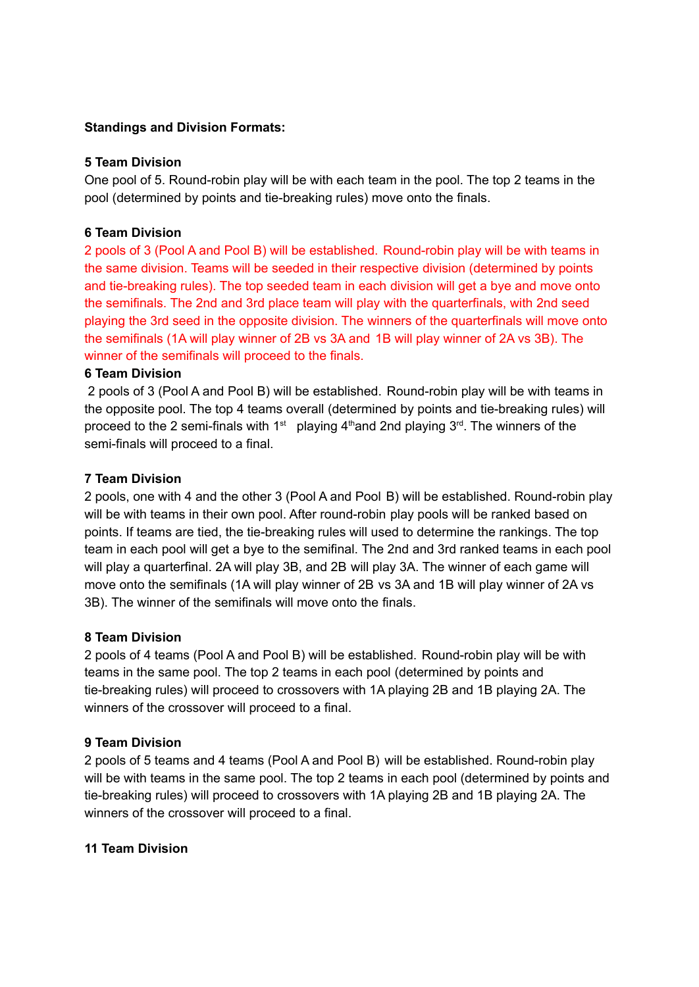## **Standings and Division Formats:**

#### **5 Team Division**

One pool of 5. Round-robin play will be with each team in the pool. The top 2 teams in the pool (determined by points and tie-breaking rules) move onto the finals.

#### **6 Team Division**

2 pools of 3 (Pool A and Pool B) will be established. Round-robin play will be with teams in the same division. Teams will be seeded in their respective division (determined by points and tie-breaking rules). The top seeded team in each division will get a bye and move onto the semifinals. The 2nd and 3rd place team will play with the quarterfinals, with 2nd seed playing the 3rd seed in the opposite division. The winners of the quarterfinals will move onto the semifinals (1A will play winner of 2B vs 3A and 1B will play winner of 2A vs 3B). The winner of the semifinals will proceed to the finals.

#### **6 Team Division**

2 pools of 3 (Pool A and Pool B) will be established. Round-robin play will be with teams in the opposite pool. The top 4 teams overall (determined by points and tie-breaking rules) will proceed to the 2 semi-finals with  $1<sup>st</sup>$  playing  $4<sup>th</sup>$  and 2nd playing  $3<sup>rd</sup>$ . The winners of the semi-finals will proceed to a final.

#### **7 Team Division**

2 pools, one with 4 and the other 3 (Pool A and Pool B) will be established. Round-robin play will be with teams in their own pool. After round-robin play pools will be ranked based on points. If teams are tied, the tie-breaking rules will used to determine the rankings. The top team in each pool will get a bye to the semifinal. The 2nd and 3rd ranked teams in each pool will play a quarterfinal. 2A will play 3B, and 2B will play 3A. The winner of each game will move onto the semifinals (1A will play winner of 2B vs 3A and 1B will play winner of 2A vs 3B). The winner of the semifinals will move onto the finals.

#### **8 Team Division**

2 pools of 4 teams (Pool A and Pool B) will be established. Round-robin play will be with teams in the same pool. The top 2 teams in each pool (determined by points and tie-breaking rules) will proceed to crossovers with 1A playing 2B and 1B playing 2A. The winners of the crossover will proceed to a final.

#### **9 Team Division**

2 pools of 5 teams and 4 teams (Pool A and Pool B) will be established. Round-robin play will be with teams in the same pool. The top 2 teams in each pool (determined by points and tie-breaking rules) will proceed to crossovers with 1A playing 2B and 1B playing 2A. The winners of the crossover will proceed to a final.

#### **11 Team Division**